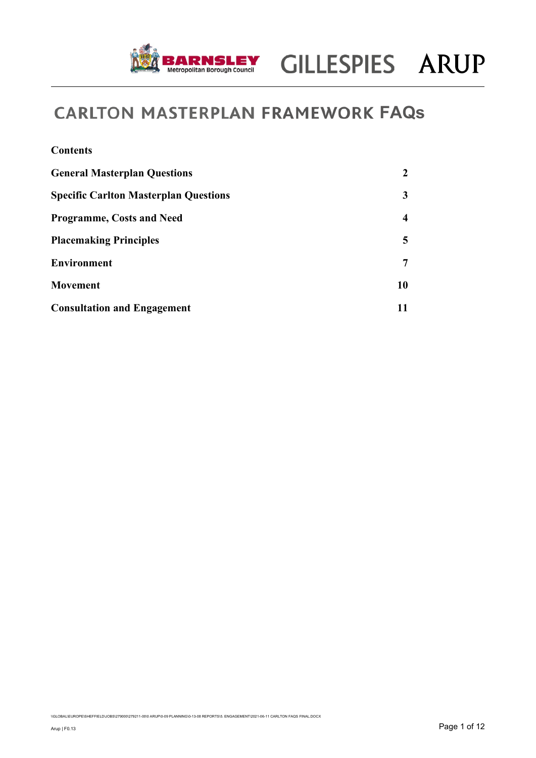

| <b>Contents</b>                              |    |
|----------------------------------------------|----|
| <b>General Masterplan Questions</b>          | 2  |
| <b>Specific Carlton Masterplan Questions</b> | 3  |
| <b>Programme, Costs and Need</b>             | 4  |
| <b>Placemaking Principles</b>                | 5  |
| <b>Environment</b>                           | 7  |
| <b>Movement</b>                              | 10 |
| <b>Consultation and Engagement</b>           | 11 |

\\GLOBAL\EUROPE\SHEFFIELD\JOBS\279000\279211-00\0 ARUP\0-09 PLANNING\0-13-08 REPORTS\5. ENGAGEMENT\2021-06-11 CARLTON FAQS FINAL.DOCX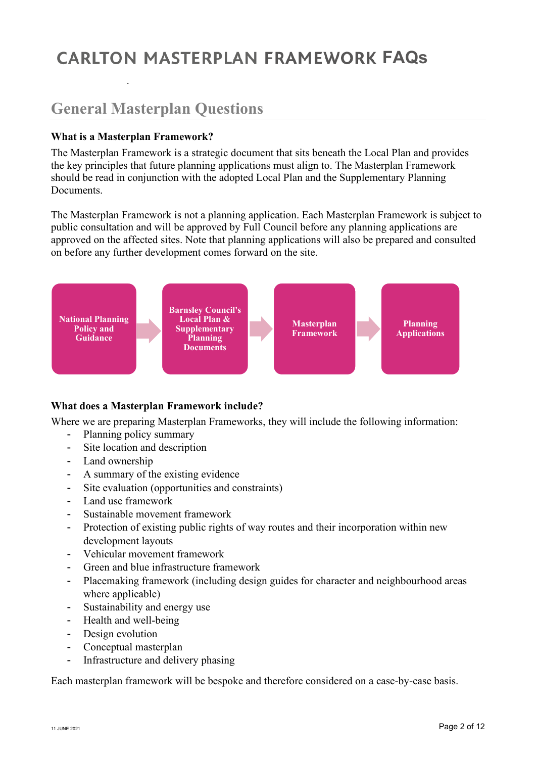**Date** 11 May 2021 **Job No/Ref** 

## **General Masterplan Questions**

### **What is a Masterplan Framework?**

The Masterplan Framework is a strategic document that sits beneath the Local Plan and provides the key principles that future planning applications must align to. The Masterplan Framework should be read in conjunction with the adopted Local Plan and the Supplementary Planning Documents.

The Masterplan Framework is not a planning application. Each Masterplan Framework is subject to public consultation and will be approved by Full Council before any planning applications are approved on the affected sites. Note that planning applications will also be prepared and consulted on before any further development comes forward on the site.



### **What does a Masterplan Framework include?**

Where we are preparing Masterplan Frameworks, they will include the following information:

- Planning policy summary
- Site location and description
- Land ownership
- A summary of the existing evidence
- Site evaluation (opportunities and constraints)
- Land use framework
- Sustainable movement framework
- Protection of existing public rights of way routes and their incorporation within new development layouts
- Vehicular movement framework
- Green and blue infrastructure framework
- Placemaking framework (including design guides for character and neighbourhood areas where applicable)
- Sustainability and energy use
- Health and well-being
- Design evolution
- Conceptual masterplan
- Infrastructure and delivery phasing

Each masterplan framework will be bespoke and therefore considered on a case-by-case basis.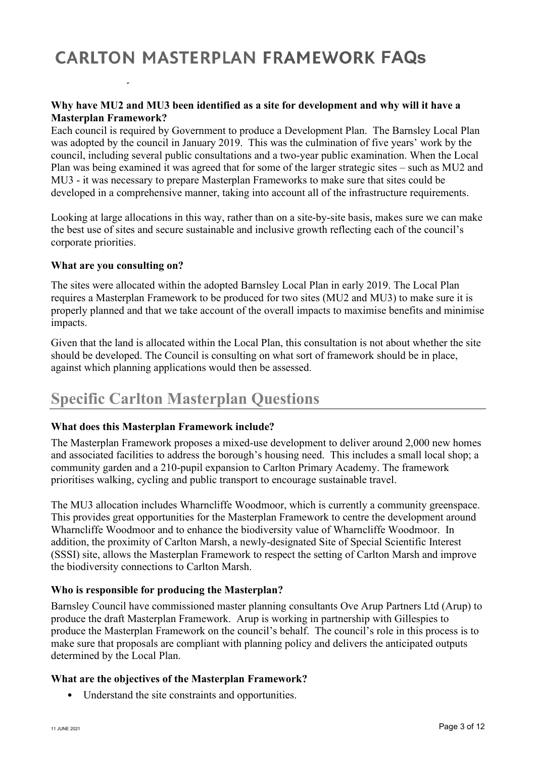**Date** 11 May 2021 **Job No/Ref** 

### **Why have MU2 and MU3 been identified as a site for development and why will it have a Masterplan Framework?**

Each council is required by Government to produce a Development Plan. The Barnsley Local Plan was adopted by the council in January 2019. This was the culmination of five years' work by the council, including several public consultations and a two-year public examination. When the Local Plan was being examined it was agreed that for some of the larger strategic sites – such as MU2 and MU3 - it was necessary to prepare Masterplan Frameworks to make sure that sites could be developed in a comprehensive manner, taking into account all of the infrastructure requirements.

Looking at large allocations in this way, rather than on a site-by-site basis, makes sure we can make the best use of sites and secure sustainable and inclusive growth reflecting each of the council's corporate priorities.

### **What are you consulting on?**

The sites were allocated within the adopted Barnsley Local Plan in early 2019. The Local Plan requires a Masterplan Framework to be produced for two sites (MU2 and MU3) to make sure it is properly planned and that we take account of the overall impacts to maximise benefits and minimise impacts.

Given that the land is allocated within the Local Plan, this consultation is not about whether the site should be developed. The Council is consulting on what sort of framework should be in place, against which planning applications would then be assessed.

### **Specific Carlton Masterplan Questions**

### **What does this Masterplan Framework include?**

The Masterplan Framework proposes a mixed-use development to deliver around 2,000 new homes and associated facilities to address the borough's housing need. This includes a small local shop; a community garden and a 210-pupil expansion to Carlton Primary Academy. The framework prioritises walking, cycling and public transport to encourage sustainable travel.

The MU3 allocation includes Wharncliffe Woodmoor, which is currently a community greenspace. This provides great opportunities for the Masterplan Framework to centre the development around Wharncliffe Woodmoor and to enhance the biodiversity value of Wharncliffe Woodmoor. In addition, the proximity of Carlton Marsh, a newly-designated Site of Special Scientific Interest (SSSI) site, allows the Masterplan Framework to respect the setting of Carlton Marsh and improve the biodiversity connections to Carlton Marsh.

### **Who is responsible for producing the Masterplan?**

Barnsley Council have commissioned master planning consultants Ove Arup Partners Ltd (Arup) to produce the draft Masterplan Framework. Arup is working in partnership with Gillespies to produce the Masterplan Framework on the council's behalf. The council's role in this process is to make sure that proposals are compliant with planning policy and delivers the anticipated outputs determined by the Local Plan.

### **What are the objectives of the Masterplan Framework?**

• Understand the site constraints and opportunities.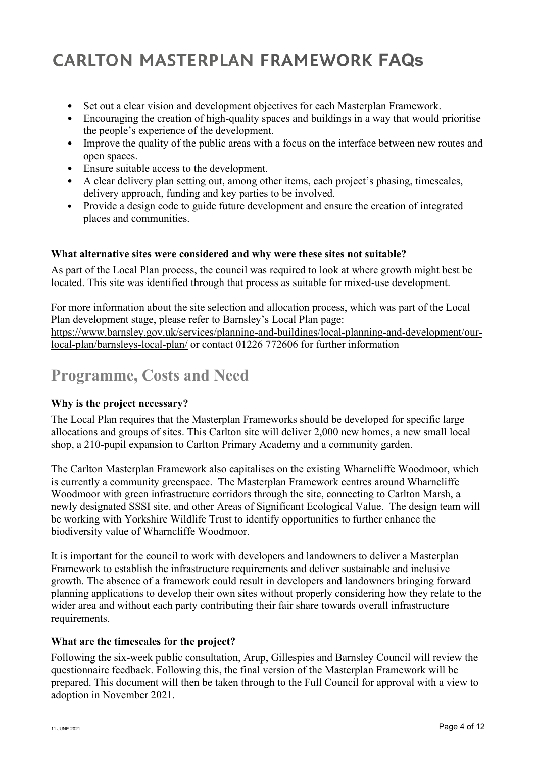- Set out a clear vision and development objectives for each Masterplan Framework.
- Encouraging the creation of high-quality spaces and buildings in a way that would prioritise the people's experience of the development.
- Improve the quality of the public areas with a focus on the interface between new routes and open spaces.
- Ensure suitable access to the development.
- A clear delivery plan setting out, among other items, each project's phasing, timescales, delivery approach, funding and key parties to be involved.
- Provide a design code to guide future development and ensure the creation of integrated places and communities.

### **What alternative sites were considered and why were these sites not suitable?**

As part of the Local Plan process, the council was required to look at where growth might best be located. This site was identified through that process as suitable for mixed-use development.

For more information about the site selection and allocation process, which was part of the Local Plan development stage, please refer to Barnsley's Local Plan page: https://www.barnsley.gov.uk/services/planning-and-buildings/local-planning-and-development/ourlocal-plan/barnsleys-local-plan/ or contact 01226 772606 for further information

## **Programme, Costs and Need**

### **Why is the project necessary?**

The Local Plan requires that the Masterplan Frameworks should be developed for specific large allocations and groups of sites. This Carlton site will deliver 2,000 new homes, a new small local shop, a 210-pupil expansion to Carlton Primary Academy and a community garden.

The Carlton Masterplan Framework also capitalises on the existing Wharncliffe Woodmoor, which is currently a community greenspace. The Masterplan Framework centres around Wharncliffe Woodmoor with green infrastructure corridors through the site, connecting to Carlton Marsh, a newly designated SSSI site, and other Areas of Significant Ecological Value. The design team will be working with Yorkshire Wildlife Trust to identify opportunities to further enhance the biodiversity value of Wharncliffe Woodmoor.

It is important for the council to work with developers and landowners to deliver a Masterplan Framework to establish the infrastructure requirements and deliver sustainable and inclusive growth. The absence of a framework could result in developers and landowners bringing forward planning applications to develop their own sites without properly considering how they relate to the wider area and without each party contributing their fair share towards overall infrastructure requirements.

### **What are the timescales for the project?**

Following the six-week public consultation, Arup, Gillespies and Barnsley Council will review the questionnaire feedback. Following this, the final version of the Masterplan Framework will be prepared. This document will then be taken through to the Full Council for approval with a view to adoption in November 2021.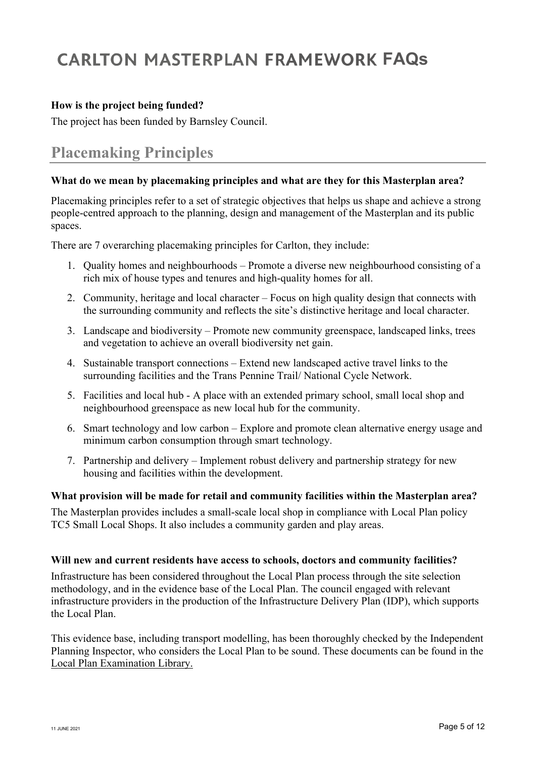### **How is the project being funded?**

The project has been funded by Barnsley Council.

## **Placemaking Principles**

### **What do we mean by placemaking principles and what are they for this Masterplan area?**

Placemaking principles refer to a set of strategic objectives that helps us shape and achieve a strong people-centred approach to the planning, design and management of the Masterplan and its public spaces.

There are 7 overarching placemaking principles for Carlton, they include:

- 1. Quality homes and neighbourhoods Promote a diverse new neighbourhood consisting of a rich mix of house types and tenures and high-quality homes for all.
- 2. Community, heritage and local character Focus on high quality design that connects with the surrounding community and reflects the site's distinctive heritage and local character.
- 3. Landscape and biodiversity Promote new community greenspace, landscaped links, trees and vegetation to achieve an overall biodiversity net gain.
- 4. Sustainable transport connections Extend new landscaped active travel links to the surrounding facilities and the Trans Pennine Trail/ National Cycle Network.
- 5. Facilities and local hub A place with an extended primary school, small local shop and neighbourhood greenspace as new local hub for the community.
- 6. Smart technology and low carbon Explore and promote clean alternative energy usage and minimum carbon consumption through smart technology.
- 7. Partnership and delivery Implement robust delivery and partnership strategy for new housing and facilities within the development.

### **What provision will be made for retail and community facilities within the Masterplan area?**

The Masterplan provides includes a small-scale local shop in compliance with Local Plan policy TC5 Small Local Shops. It also includes a community garden and play areas.

### **Will new and current residents have access to schools, doctors and community facilities?**

Infrastructure has been considered throughout the Local Plan process through the site selection methodology, and in the evidence base of the Local Plan. The council engaged with relevant infrastructure providers in the production of the Infrastructure Delivery Plan (IDP), which supports the Local Plan.

This evidence base, including transport modelling, has been thoroughly checked by the Independent Planning Inspector, who considers the Local Plan to be sound. These documents can be found in the Local Plan Examination Library.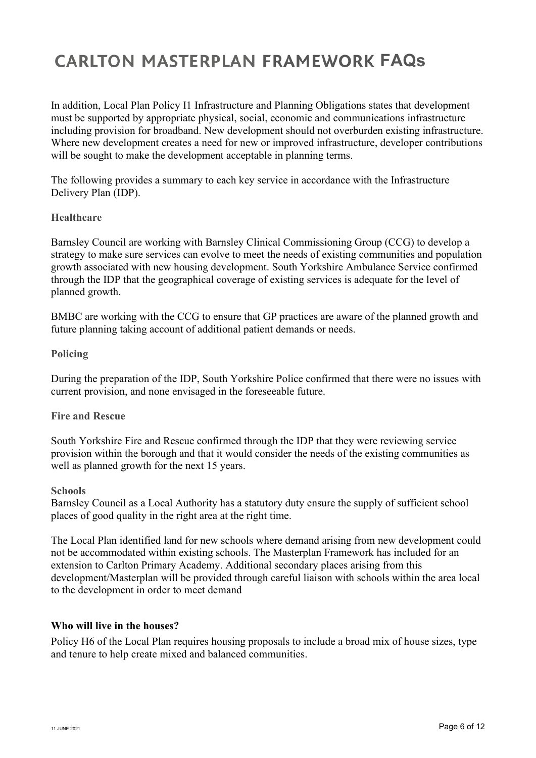In addition, Local Plan Policy I1 Infrastructure and Planning Obligations states that development must be supported by appropriate physical, social, economic and communications infrastructure including provision for broadband. New development should not overburden existing infrastructure. Where new development creates a need for new or improved infrastructure, developer contributions will be sought to make the development acceptable in planning terms.

The following provides a summary to each key service in accordance with the Infrastructure Delivery Plan (IDP).

### **Healthcare**

Barnsley Council are working with Barnsley Clinical Commissioning Group (CCG) to develop a strategy to make sure services can evolve to meet the needs of existing communities and population growth associated with new housing development. South Yorkshire Ambulance Service confirmed through the IDP that the geographical coverage of existing services is adequate for the level of planned growth.

BMBC are working with the CCG to ensure that GP practices are aware of the planned growth and future planning taking account of additional patient demands or needs.

### **Policing**

During the preparation of the IDP, South Yorkshire Police confirmed that there were no issues with current provision, and none envisaged in the foreseeable future.

### **Fire and Rescue**

South Yorkshire Fire and Rescue confirmed through the IDP that they were reviewing service provision within the borough and that it would consider the needs of the existing communities as well as planned growth for the next 15 years.

#### **Schools**

Barnsley Council as a Local Authority has a statutory duty ensure the supply of sufficient school places of good quality in the right area at the right time.

The Local Plan identified land for new schools where demand arising from new development could not be accommodated within existing schools. The Masterplan Framework has included for an extension to Carlton Primary Academy. Additional secondary places arising from this development/Masterplan will be provided through careful liaison with schools within the area local to the development in order to meet demand

### **Who will live in the houses?**

Policy H6 of the Local Plan requires housing proposals to include a broad mix of house sizes, type and tenure to help create mixed and balanced communities.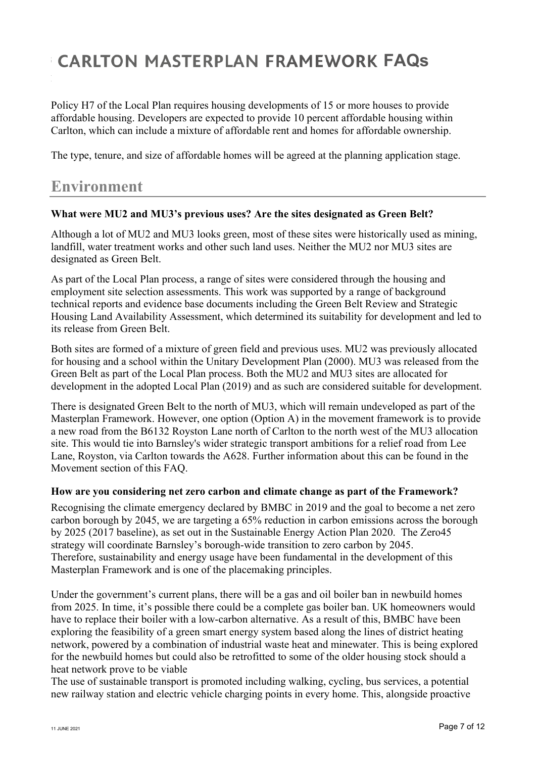Policy H7 of the Local Plan requires housing developments of 15 or more houses to provide affordable housing. Developers are expected to provide 10 percent affordable housing within Carlton, which can include a mixture of affordable rent and homes for affordable ownership.

The type, tenure, and size of affordable homes will be agreed at the planning application stage.

### **Environment**

### **What were MU2 and MU3's previous uses? Are the sites designated as Green Belt?**

Although a lot of MU2 and MU3 looks green, most of these sites were historically used as mining, landfill, water treatment works and other such land uses. Neither the MU2 nor MU3 sites are designated as Green Belt.

As part of the Local Plan process, a range of sites were considered through the housing and employment site selection assessments. This work was supported by a range of background technical reports and evidence base documents including the Green Belt Review and Strategic Housing Land Availability Assessment, which determined its suitability for development and led to its release from Green Belt.

Both sites are formed of a mixture of green field and previous uses. MU2 was previously allocated for housing and a school within the Unitary Development Plan (2000). MU3 was released from the Green Belt as part of the Local Plan process. Both the MU2 and MU3 sites are allocated for development in the adopted Local Plan (2019) and as such are considered suitable for development.

There is designated Green Belt to the north of MU3, which will remain undeveloped as part of the Masterplan Framework. However, one option (Option A) in the movement framework is to provide a new road from the B6132 Royston Lane north of Carlton to the north west of the MU3 allocation site. This would tie into Barnsley's wider strategic transport ambitions for a relief road from Lee Lane, Royston, via Carlton towards the A628. Further information about this can be found in the Movement section of this FAQ.

### **How are you considering net zero carbon and climate change as part of the Framework?**

Recognising the climate emergency declared by BMBC in 2019 and the goal to become a net zero carbon borough by 2045, we are targeting a 65% reduction in carbon emissions across the borough by 2025 (2017 baseline), as set out in the Sustainable Energy Action Plan 2020. The Zero45 strategy will coordinate Barnsley's borough-wide transition to zero carbon by 2045. Therefore, sustainability and energy usage have been fundamental in the development of this Masterplan Framework and is one of the placemaking principles.

Under the government's current plans, there will be a gas and oil boiler ban in newbuild homes from 2025. In time, it's possible there could be a complete gas boiler ban. UK homeowners would have to replace their boiler with a low-carbon alternative. As a result of this, BMBC have been exploring the feasibility of a green smart energy system based along the lines of district heating network, powered by a combination of industrial waste heat and minewater. This is being explored for the newbuild homes but could also be retrofitted to some of the older housing stock should a heat network prove to be viable

The use of sustainable transport is promoted including walking, cycling, bus services, a potential new railway station and electric vehicle charging points in every home. This, alongside proactive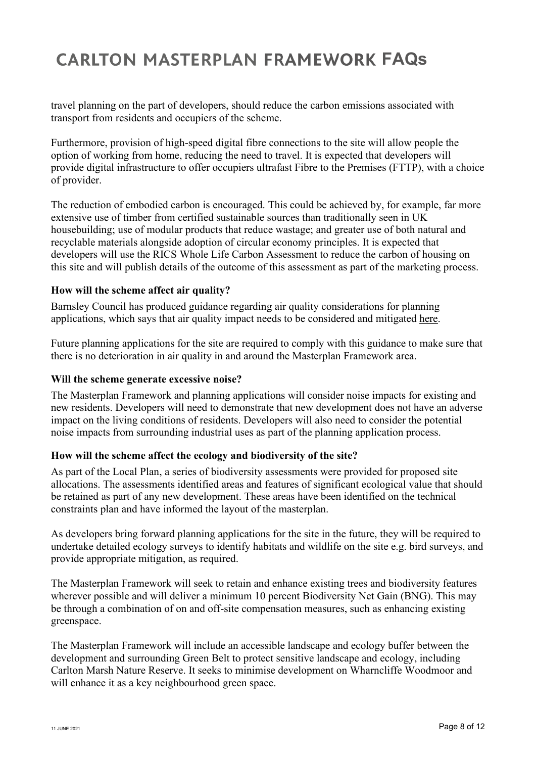travel planning on the part of developers, should reduce the carbon emissions associated with transport from residents and occupiers of the scheme.

Furthermore, provision of high-speed digital fibre connections to the site will allow people the option of working from home, reducing the need to travel. It is expected that developers will provide digital infrastructure to offer occupiers ultrafast Fibre to the Premises (FTTP), with a choice of provider.

The reduction of embodied carbon is encouraged. This could be achieved by, for example, far more extensive use of timber from certified sustainable sources than traditionally seen in UK housebuilding; use of modular products that reduce wastage; and greater use of both natural and recyclable materials alongside adoption of circular economy principles. It is expected that developers will use the RICS Whole Life Carbon Assessment to reduce the carbon of housing on this site and will publish details of the outcome of this assessment as part of the marketing process.

### **How will the scheme affect air quality?**

Barnsley Council has produced guidance regarding air quality considerations for planning applications, which says that air quality impact needs to be considered and mitigated here.

Future planning applications for the site are required to comply with this guidance to make sure that there is no deterioration in air quality in and around the Masterplan Framework area.

### **Will the scheme generate excessive noise?**

The Masterplan Framework and planning applications will consider noise impacts for existing and new residents. Developers will need to demonstrate that new development does not have an adverse impact on the living conditions of residents. Developers will also need to consider the potential noise impacts from surrounding industrial uses as part of the planning application process.

### **How will the scheme affect the ecology and biodiversity of the site?**

As part of the Local Plan, a series of biodiversity assessments were provided for proposed site allocations. The assessments identified areas and features of significant ecological value that should be retained as part of any new development. These areas have been identified on the technical constraints plan and have informed the layout of the masterplan.

As developers bring forward planning applications for the site in the future, they will be required to undertake detailed ecology surveys to identify habitats and wildlife on the site e.g. bird surveys, and provide appropriate mitigation, as required.

The Masterplan Framework will seek to retain and enhance existing trees and biodiversity features wherever possible and will deliver a minimum 10 percent Biodiversity Net Gain (BNG). This may be through a combination of on and off-site compensation measures, such as enhancing existing greenspace.

The Masterplan Framework will include an accessible landscape and ecology buffer between the development and surrounding Green Belt to protect sensitive landscape and ecology, including Carlton Marsh Nature Reserve. It seeks to minimise development on Wharncliffe Woodmoor and will enhance it as a key neighbourhood green space.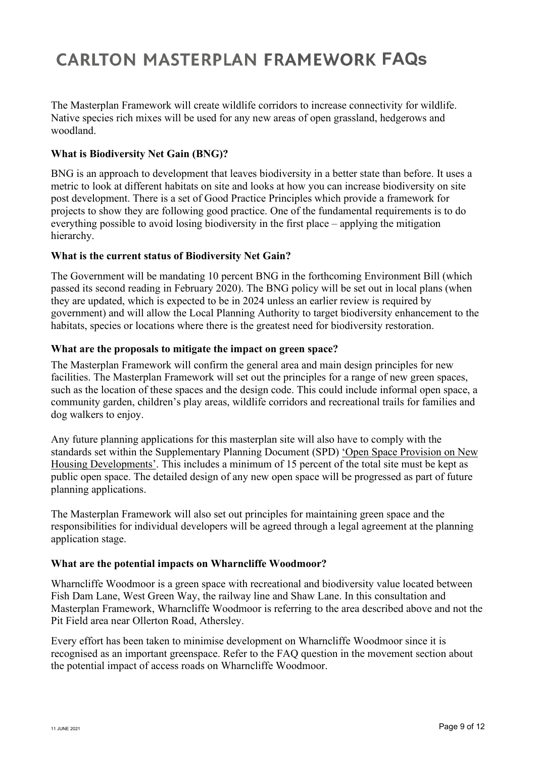The Masterplan Framework will create wildlife corridors to increase connectivity for wildlife. Native species rich mixes will be used for any new areas of open grassland, hedgerows and woodland.

### **What is Biodiversity Net Gain (BNG)?**

BNG is an approach to development that leaves biodiversity in a better state than before. It uses a metric to look at different habitats on site and looks at how you can increase biodiversity on site post development. There is a set of Good Practice Principles which provide a framework for projects to show they are following good practice. One of the fundamental requirements is to do everything possible to avoid losing biodiversity in the first place – applying the mitigation hierarchy.

### **What is the current status of Biodiversity Net Gain?**

The Government will be mandating 10 percent BNG in the forthcoming Environment Bill (which passed its second reading in February 2020). The BNG policy will be set out in local plans (when they are updated, which is expected to be in 2024 unless an earlier review is required by government) and will allow the Local Planning Authority to target biodiversity enhancement to the habitats, species or locations where there is the greatest need for biodiversity restoration.

### **What are the proposals to mitigate the impact on green space?**

The Masterplan Framework will confirm the general area and main design principles for new facilities. The Masterplan Framework will set out the principles for a range of new green spaces, such as the location of these spaces and the design code. This could include informal open space, a community garden, children's play areas, wildlife corridors and recreational trails for families and dog walkers to enjoy.

Any future planning applications for this masterplan site will also have to comply with the standards set within the Supplementary Planning Document (SPD) 'Open Space Provision on New Housing Developments'. This includes a minimum of 15 percent of the total site must be kept as public open space. The detailed design of any new open space will be progressed as part of future planning applications.

The Masterplan Framework will also set out principles for maintaining green space and the responsibilities for individual developers will be agreed through a legal agreement at the planning application stage.

### **What are the potential impacts on Wharncliffe Woodmoor?**

Wharncliffe Woodmoor is a green space with recreational and biodiversity value located between Fish Dam Lane, West Green Way, the railway line and Shaw Lane. In this consultation and Masterplan Framework, Wharncliffe Woodmoor is referring to the area described above and not the Pit Field area near Ollerton Road, Athersley.

Every effort has been taken to minimise development on Wharncliffe Woodmoor since it is recognised as an important greenspace. Refer to the FAQ question in the movement section about the potential impact of access roads on Wharncliffe Woodmoor.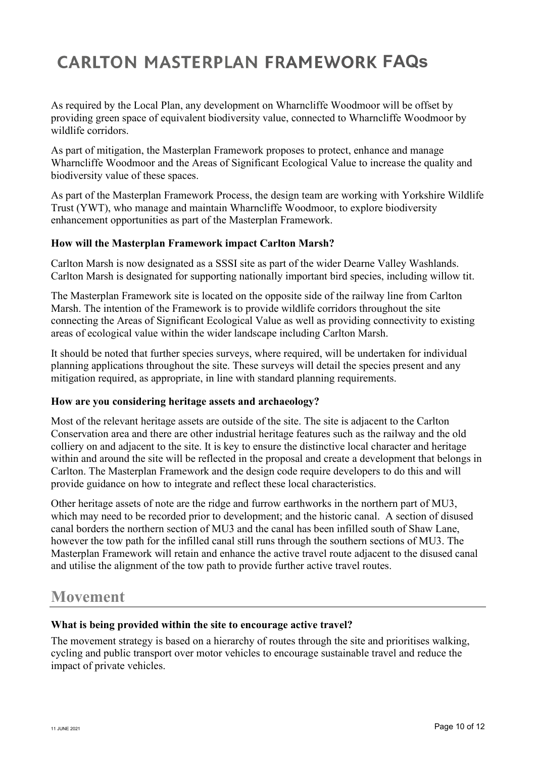As required by the Local Plan, any development on Wharncliffe Woodmoor will be offset by providing green space of equivalent biodiversity value, connected to Wharncliffe Woodmoor by wildlife corridors.

As part of mitigation, the Masterplan Framework proposes to protect, enhance and manage Wharncliffe Woodmoor and the Areas of Significant Ecological Value to increase the quality and biodiversity value of these spaces.

As part of the Masterplan Framework Process, the design team are working with Yorkshire Wildlife Trust (YWT), who manage and maintain Wharncliffe Woodmoor, to explore biodiversity enhancement opportunities as part of the Masterplan Framework.

### **How will the Masterplan Framework impact Carlton Marsh?**

Carlton Marsh is now designated as a SSSI site as part of the wider Dearne Valley Washlands. Carlton Marsh is designated for supporting nationally important bird species, including willow tit.

The Masterplan Framework site is located on the opposite side of the railway line from Carlton Marsh. The intention of the Framework is to provide wildlife corridors throughout the site connecting the Areas of Significant Ecological Value as well as providing connectivity to existing areas of ecological value within the wider landscape including Carlton Marsh.

It should be noted that further species surveys, where required, will be undertaken for individual planning applications throughout the site. These surveys will detail the species present and any mitigation required, as appropriate, in line with standard planning requirements.

### **How are you considering heritage assets and archaeology?**

Most of the relevant heritage assets are outside of the site. The site is adjacent to the Carlton Conservation area and there are other industrial heritage features such as the railway and the old colliery on and adjacent to the site. It is key to ensure the distinctive local character and heritage within and around the site will be reflected in the proposal and create a development that belongs in Carlton. The Masterplan Framework and the design code require developers to do this and will provide guidance on how to integrate and reflect these local characteristics.

Other heritage assets of note are the ridge and furrow earthworks in the northern part of MU3, which may need to be recorded prior to development; and the historic canal. A section of disused canal borders the northern section of MU3 and the canal has been infilled south of Shaw Lane, however the tow path for the infilled canal still runs through the southern sections of MU3. The Masterplan Framework will retain and enhance the active travel route adjacent to the disused canal and utilise the alignment of the tow path to provide further active travel routes.

### **Movement**

### **What is being provided within the site to encourage active travel?**

The movement strategy is based on a hierarchy of routes through the site and prioritises walking, cycling and public transport over motor vehicles to encourage sustainable travel and reduce the impact of private vehicles.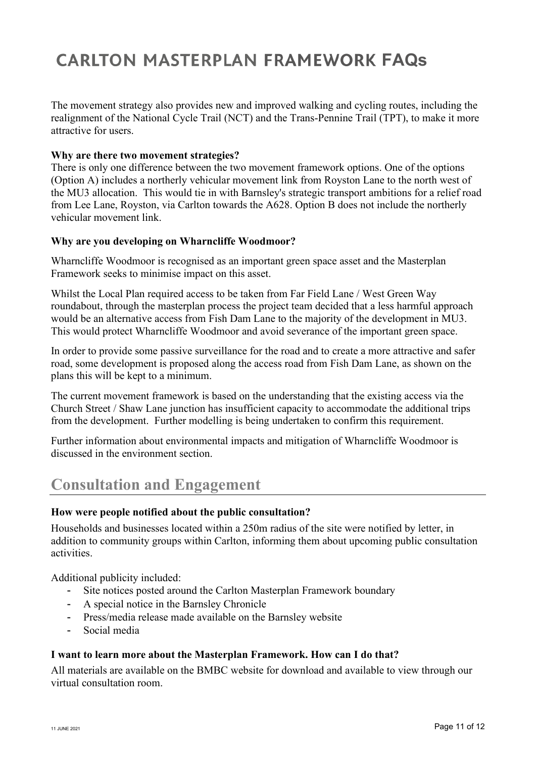The movement strategy also provides new and improved walking and cycling routes, including the realignment of the National Cycle Trail (NCT) and the Trans-Pennine Trail (TPT), to make it more attractive for users.

### **Why are there two movement strategies?**

There is only one difference between the two movement framework options. One of the options (Option A) includes a northerly vehicular movement link from Royston Lane to the north west of the MU3 allocation. This would tie in with Barnsley's strategic transport ambitions for a relief road from Lee Lane, Royston, via Carlton towards the A628. Option B does not include the northerly vehicular movement link.

### **Why are you developing on Wharncliffe Woodmoor?**

Wharncliffe Woodmoor is recognised as an important green space asset and the Masterplan Framework seeks to minimise impact on this asset.

Whilst the Local Plan required access to be taken from Far Field Lane / West Green Way roundabout, through the masterplan process the project team decided that a less harmful approach would be an alternative access from Fish Dam Lane to the majority of the development in MU3. This would protect Wharncliffe Woodmoor and avoid severance of the important green space.

In order to provide some passive surveillance for the road and to create a more attractive and safer road, some development is proposed along the access road from Fish Dam Lane, as shown on the plans this will be kept to a minimum.

The current movement framework is based on the understanding that the existing access via the Church Street / Shaw Lane junction has insufficient capacity to accommodate the additional trips from the development. Further modelling is being undertaken to confirm this requirement.

Further information about environmental impacts and mitigation of Wharncliffe Woodmoor is discussed in the environment section.

## **Consultation and Engagement**

### **How were people notified about the public consultation?**

Households and businesses located within a 250m radius of the site were notified by letter, in addition to community groups within Carlton, informing them about upcoming public consultation activities.

Additional publicity included:

- Site notices posted around the Carlton Masterplan Framework boundary
- A special notice in the Barnsley Chronicle
- Press/media release made available on the Barnsley website
- Social media

### **I want to learn more about the Masterplan Framework. How can I do that?**

All materials are available on the BMBC website for download and available to view through our virtual consultation room.